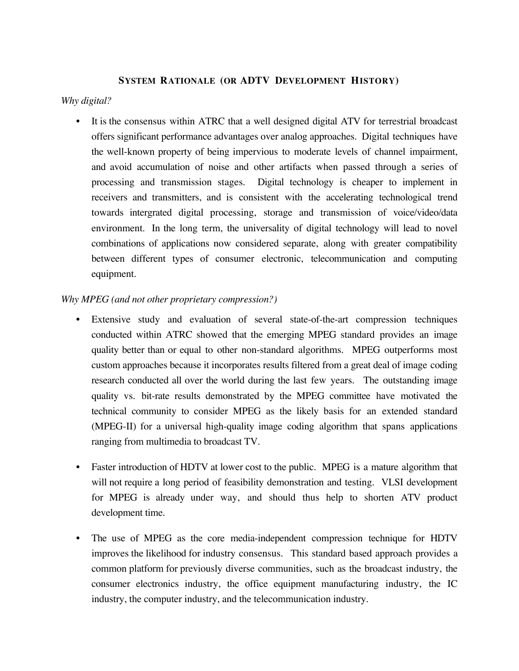#### **SYSTEM RATIONALE (OR ADTV DEVELOPMENT HISTORY)**

### *Why digital?*

• It is the consensus within ATRC that a well designed digital ATV for terrestrial broadcast offers significant performance advantages over analog approaches. Digital techniques have the well-known property of being impervious to moderate levels of channel impairment, and avoid accumulation of noise and other artifacts when passed through a series of processing and transmission stages. Digital technology is cheaper to implement in receivers and transmitters, and is consistent with the accelerating technological trend towards intergrated digital processing, storage and transmission of voice/video/data environment. In the long term, the universality of digital technology will lead to novel combinations of applications now considered separate, along with greater compatibility between different types of consumer electronic, telecommunication and computing equipment.

### *Why MPEG (and not other proprietary compression?)*

- Extensive study and evaluation of several state-of-the-art compression techniques conducted within ATRC showed that the emerging MPEG standard provides an image quality better than or equal to other non-standard algorithms. MPEG outperforms most custom approaches because it incorporates results filtered from a great deal of image coding research conducted all over the world during the last few years. The outstanding image quality vs. bit-rate results demonstrated by the MPEG committee have motivated the technical community to consider MPEG as the likely basis for an extended standard (MPEG-II) for a universal high-quality image coding algorithm that spans applications ranging from multimedia to broadcast TV.
- Faster introduction of HDTV at lower cost to the public. MPEG is a mature algorithm that will not require a long period of feasibility demonstration and testing. VLSI development for MPEG is already under way, and should thus help to shorten ATV product development time.
- The use of MPEG as the core media-independent compression technique for HDTV improves the likelihood for industry consensus. This standard based approach provides a common platform for previously diverse communities, such as the broadcast industry, the consumer electronics industry, the office equipment manufacturing industry, the IC industry, the computer industry, and the telecommunication industry.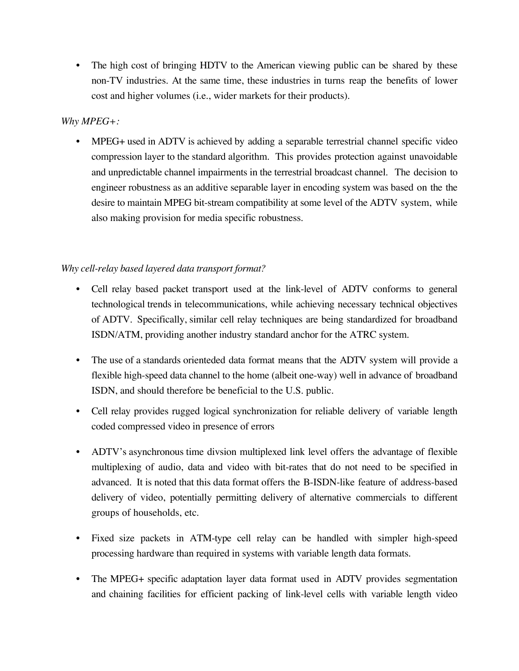• The high cost of bringing HDTV to the American viewing public can be shared by these non-TV industries. At the same time, these industries in turns reap the benefits of lower cost and higher volumes (i.e., wider markets for their products).

## *Why MPEG+:*

• MPEG+ used in ADTV is achieved by adding a separable terrestrial channel specific video compression layer to the standard algorithm. This provides protection against unavoidable and unpredictable channel impairments in the terrestrial broadcast channel. The decision to engineer robustness as an additive separable layer in encoding system was based on the the desire to maintain MPEG bit-stream compatibility at some level of the ADTV system, while also making provision for media specific robustness.

# *Why cell-relay based layered data transport format?*

- Cell relay based packet transport used at the link-level of ADTV conforms to general technological trends in telecommunications, while achieving necessary technical objectives of ADTV. Specifically, similar cell relay techniques are being standardized for broadband ISDN/ATM, providing another industry standard anchor for the ATRC system.
- The use of a standards orienteded data format means that the ADTV system will provide a flexible high-speed data channel to the home (albeit one-way) well in advance of broadband ISDN, and should therefore be beneficial to the U.S. public.
- Cell relay provides rugged logical synchronization for reliable delivery of variable length coded compressed video in presence of errors
- ADTV's asynchronous time divsion multiplexed link level offers the advantage of flexible multiplexing of audio, data and video with bit-rates that do not need to be specified in advanced. It is noted that this data format offers the B-ISDN-like feature of address-based delivery of video, potentially permitting delivery of alternative commercials to different groups of households, etc.
- Fixed size packets in ATM-type cell relay can be handled with simpler high-speed processing hardware than required in systems with variable length data formats.
- The MPEG+ specific adaptation layer data format used in ADTV provides segmentation and chaining facilities for efficient packing of link-level cells with variable length video